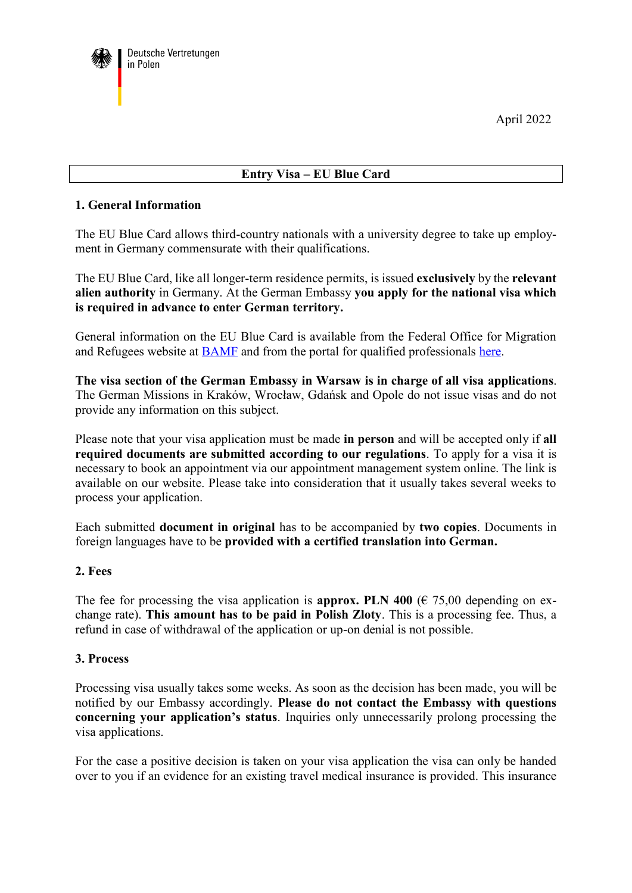April 2022



# **Entry Visa – EU Blue Card**

### **1. General Information**

The EU Blue Card allows third-country nationals with a university degree to take up employment in Germany commensurate with their qualifications.

The EU Blue Card, like all longer-term residence permits, is issued **exclusively** by the **relevant alien authority** in Germany. At the German Embassy **you apply for the national visa which is required in advance to enter German territory.**

General information on the EU Blue Card is available from the Federal Office for Migration and Refugees website at [BAMF](http://www.bamf.de/) and from the portal for qualified professionals [here.](http://www.make-it-in-germany.com/)

**The visa section of the German Embassy in Warsaw is in charge of all visa applications**. The German Missions in Kraków, Wrocław, Gdańsk and Opole do not issue visas and do not provide any information on this subject.

Please note that your visa application must be made **in person** and will be accepted only if **all required documents are submitted according to our regulations**. To apply for a visa it is necessary to book an appointment via our appointment management system online. The link is available on our website. Please take into consideration that it usually takes several weeks to process your application.

Each submitted **document in original** has to be accompanied by **two copies**. Documents in foreign languages have to be **provided with a certified translation into German.**

#### **2. Fees**

The fee for processing the visa application is **approx. PLN 400** ( $\epsilon$  75,00 depending on exchange rate). **This amount has to be paid in Polish Zloty**. This is a processing fee. Thus, a refund in case of withdrawal of the application or up-on denial is not possible.

#### **3. Process**

Processing visa usually takes some weeks. As soon as the decision has been made, you will be notified by our Embassy accordingly. **Please do not contact the Embassy with questions concerning your application's status**. Inquiries only unnecessarily prolong processing the visa applications.

For the case a positive decision is taken on your visa application the visa can only be handed over to you if an evidence for an existing travel medical insurance is provided. This insurance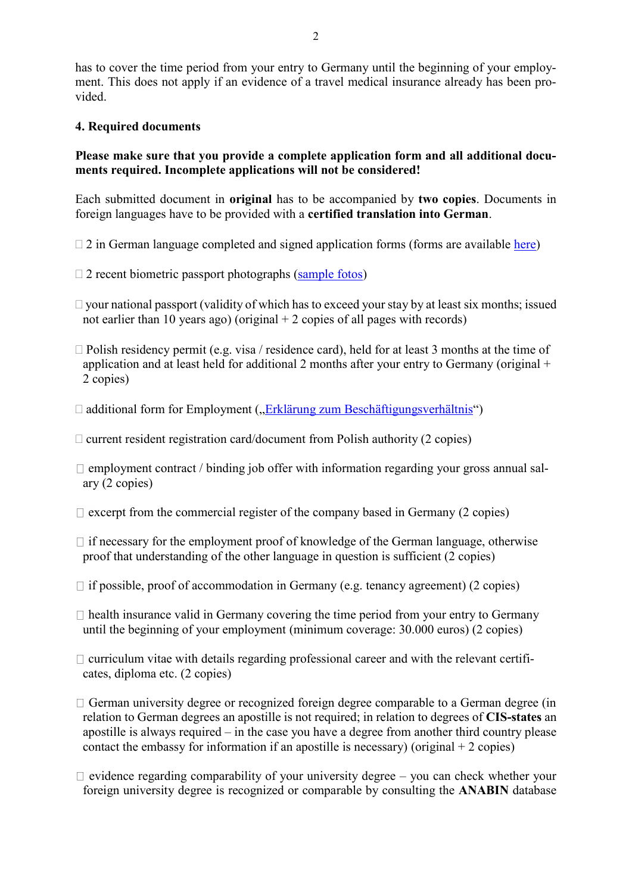has to cover the time period from your entry to Germany until the beginning of your employment. This does not apply if an evidence of a travel medical insurance already has been provided.

### **4. Required documents**

## **Please make sure that you provide a complete application form and all additional documents required. Incomplete applications will not be considered!**

Each submitted document in **original** has to be accompanied by **two copies**. Documents in foreign languages have to be provided with a **certified translation into German**.

- $\Box$  2 in German language completed and signed application forms (forms are available [here\)](https://polen.diplo.de/blob/483250/f9342033f2933dc05da54151efe283db/visaantrag-de-en-data.pdf)
- $\Box$  2 recent biometric passport photographs [\(sample fotos\)](https://polen.diplo.de/pl-de/03-service/03-02-visainfo-en/visa-foto-eng/478856?openAccordionId=item-487918-0-panel)
- $\Box$  your national passport (validity of which has to exceed your stay by at least six months; issued not earlier than 10 years ago) (original  $+2$  copies of all pages with records)
- Polish residency permit (e.g. visa / residence card), held for at least 3 months at the time of application and at least held for additional 2 months after your entry to Germany (original  $+$ 2 copies)
- $\Box$  additional form for Employment ("[Erklärung zum Beschäftigungsverhältnis](https://polen.diplo.de/blob/2507604/3fbb09352b8e359833e4e50f901cbf92/erklaerung-zum-beschaeftigungsverhaeltnis-data.pdf)")
- $\Box$  current resident registration card/document from Polish authority (2 copies)
- $\Box$  employment contract / binding job offer with information regarding your gross annual salary (2 copies)
- $\Box$  excerpt from the commercial register of the company based in Germany (2 copies)
- $\Box$  if necessary for the employment proof of knowledge of the German language, otherwise proof that understanding of the other language in question is sufficient (2 copies)
- $\Box$  if possible, proof of accommodation in Germany (e.g. tenancy agreement) (2 copies)
- $\Box$  health insurance valid in Germany covering the time period from your entry to Germany until the beginning of your employment (minimum coverage: 30.000 euros) (2 copies)
- $\Box$  curriculum vitae with details regarding professional career and with the relevant certificates, diploma etc. (2 copies)
- $\Box$  German university degree or recognized foreign degree comparable to a German degree (in relation to German degrees an apostille is not required; in relation to degrees of **CIS-states** an apostille is always required – in the case you have a degree from another third country please contact the embassy for information if an apostille is necessary) (original  $+2$  copies)
- $\Box$  evidence regarding comparability of your university degree you can check whether your foreign university degree is recognized or comparable by consulting the **ANABIN** database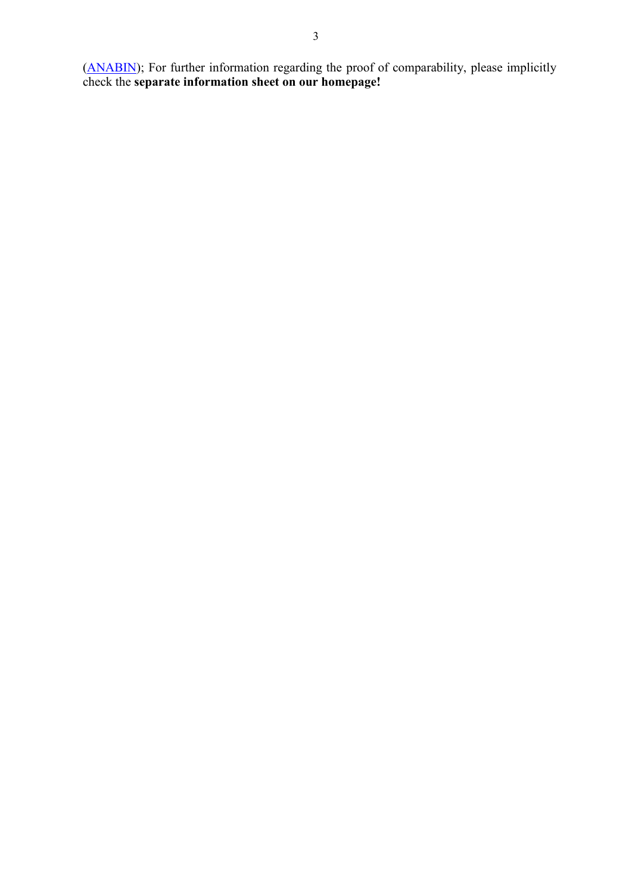[\(ANABIN\)](http://anabin.kmk.org/); For further information regarding the proof of comparability, please implicitly check the **separate information sheet on our homepage!**